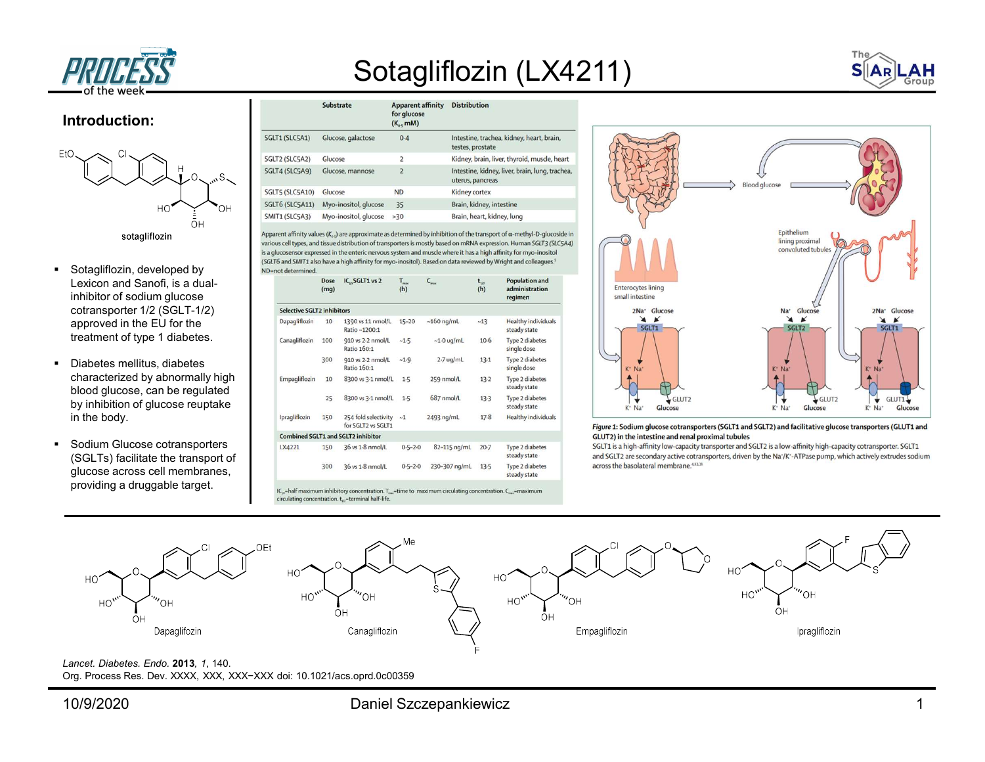

ea.



## Introduction:



- Lexicon and Sanofi, is a dualinhibitor of sodium glucose cotransporter 1/2 (SGLT-1/2) approved in the EU for the treatment of type 1 diabetes.
- Diabetes mellitus, diabetes characterized by abnormally high blood glucose, can be regulated by inhibition of glucose reuptake in the body.
- **Sodium Glucose cotransporters** (SGLTs) facilitate the transport of glucose across cell membranes, providing a druggable target.

|                 |                       | for glucose<br>$(K_{\alpha s}$ mM) |                                                                  |  |  |
|-----------------|-----------------------|------------------------------------|------------------------------------------------------------------|--|--|
| SGLT1 (SLC5A1)  | Glucose, galactose    | 0.4                                | Intestine, trachea, kidney, heart, brain,<br>testes, prostate    |  |  |
| SGLT2 (SLC5A2)  | Glucose               | $\overline{2}$                     | Kidney, brain, liver, thyroid, muscle, hea                       |  |  |
| SGLT4 (SLC5A9)  | Glucose, mannose      | $\overline{2}$                     | Intestine, kidney, liver, brain, lung, trach<br>uterus, pancreas |  |  |
| SGLT5 (SLC5A10) | Glucose               | <b>ND</b>                          | Kidney cortex                                                    |  |  |
| SGLT6 (SLC5A11) | Myo-inositol, glucose | 35                                 | Brain, kidney, intestine                                         |  |  |
| SMIT1 (SLC5A3)  | Myo-inositol, glucose | >30                                | Brain, heart, kidney, lung                                       |  |  |
|                 |                       |                                    |                                                                  |  |  |

Apparent affinity values ( $K_{\alpha}$ ,) are approximate as determined by inhibition of the transport of  $\alpha$ -methyl-D-glucoside in various cell types, and tissue distribution of transporters is mostly based on mRNA expression. Human SGLT3 (SLC5A4) is a glucosensor expressed in the enteric nervous system and muscle where it has a high affinity for myo-inositol SOTA and SMIT1 also have a high affinity for myo-inositol). Based on data reviewed by Wright and colleagues.<sup>5</sup><br>Sotagliflozin, developed by **South American** MD=not determined.

|                                   | Dose<br>(mq) | IC <sub>SGLT1</sub> vs 2                   | $T_{max}$<br>(h) | $C_{max}$            | $t_{1/2}$<br>(h) | <b>Population and</b><br>administration<br>regimen |
|-----------------------------------|--------------|--------------------------------------------|------------------|----------------------|------------------|----------------------------------------------------|
| <b>Selective SGLT2 inhibitors</b> |              |                                            |                  |                      |                  |                                                    |
| Dapagliflozin                     | 10           | 1390 vs 11 nmol/L<br>Ratio ~1200:1         | $15 - 20$        | $-160$ ng/mL         | $-13$            | <b>Healthy individuals</b><br>steady state         |
| Canagliflozin                     | 100          | 910 vs 2-2 nmol/L<br>Ratio 160:1           | $-1.5$           | $-1.0 \text{ uq/mL}$ | $10-6$           | <b>Type 2 diabetes</b><br>single dose              |
|                                   | 300          | 910 vs 2-2 nmol/L<br>Ratio 160:1           | $-1.9$           | $2.7$ ug/mL          | $13-1$           | Type 2 diabetes<br>single dose                     |
| Empagliflozin                     | 10           | 8300 vs 3-1 nmol/L                         | 1.5              | 259 nmol/L           | $13-2$           | <b>Type 2 diabetes</b><br>steady state             |
|                                   | 25           | 8300 vs 3-1 nmol/L                         | 1.5              | 687 nmol/L           | $13-3$           | <b>Type 2 diabetes</b><br>steady state             |
| Ipragliflozin                     | 150          | 254 fold selectivity<br>for SGLT2 vs SGLT1 | ~1               | 2493 ng/mL           | 17.8             | <b>Healthy individuals</b>                         |
|                                   |              | <b>Combined SGLT1 and SGLT2 inhibitor</b>  |                  |                      |                  |                                                    |
| LX4221                            | 150          | 36 vs 1-8 nmol/L                           | $0.5 - 2.0$      | 82-115 ng/mL         | $20-7$           | Type 2 diabetes<br>steady state                    |
|                                   | 300          | 36 vs 1-8 nmol/L                           | $0.5 - 2.0$      | 230-307 ng/mL        | 13.5             | Type 2 diabetes<br>steady state                    |





Lancet. Diabetes. Endo. 2013, 1, 140. Org. Process Res. Dev. XXXX, XXX, XXX−XXX doi: 10.1021/acs.oprd.0c00359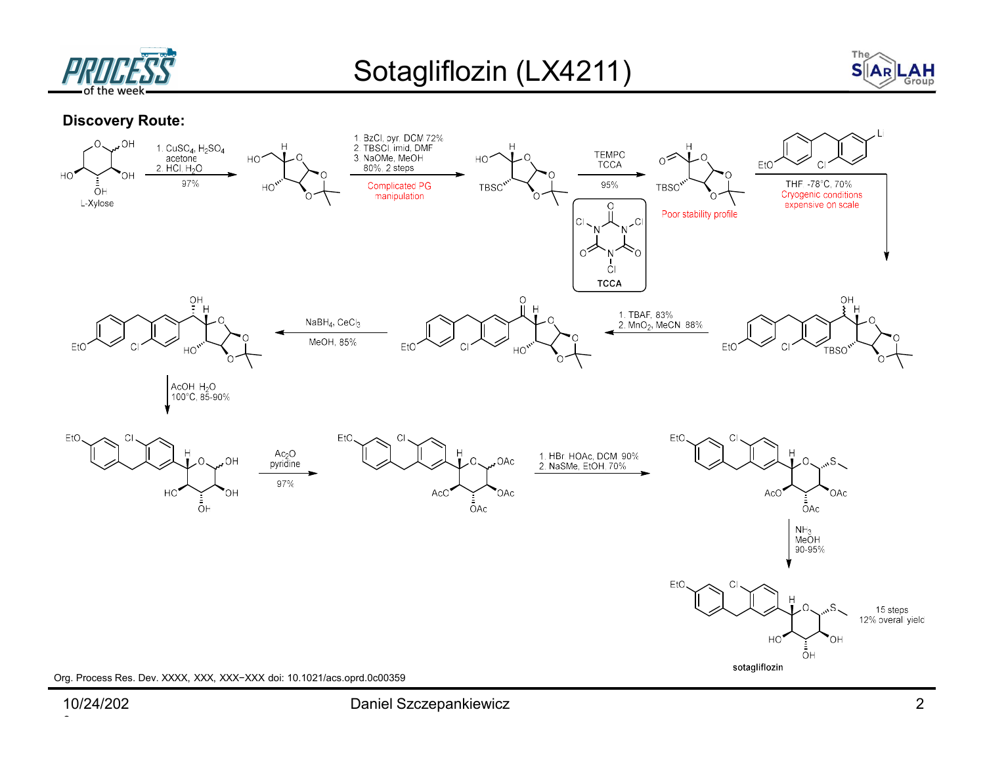



## Discovery Route:



10/24/202

e de la construcción de la construcción de la construcción de la construcción de la construcción de la construcción<br>O segundo de la construcción de la construcción de la construcción de la construcción de la construcción d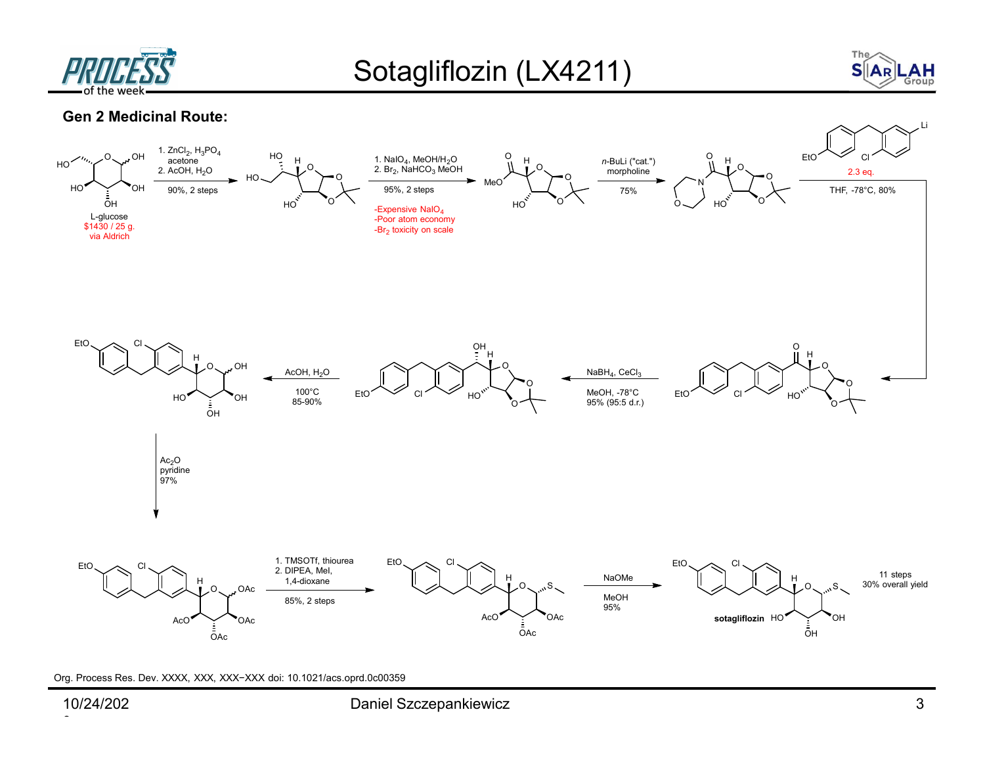



## Gen 2 Medicinal Route:



Org. Process Res. Dev. XXXX, XXX, XXX−XXX doi: 10.1021/acs.oprd.0c00359

e de la construcción de la construcción de la construcción de la construcción de la construcción de la construcción<br>O segundo de la construcción de la construcción de la construcción de la construcción de la construcción d